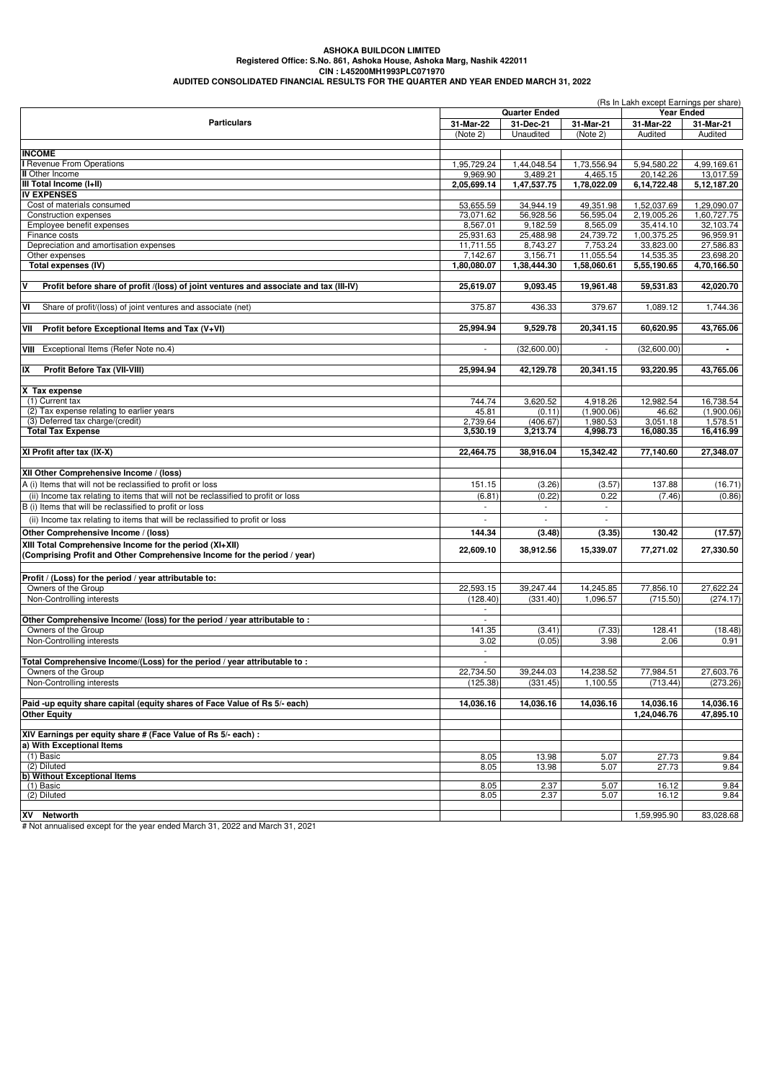#### **ASHOKA BUILDCON LIMITED Registered Office: S.No. 861, Ashoka House, Ashoka Marg, Nashik 422011 CIN : L45200MH1993PLC071970 AUDITED CONSOLIDATED FINANCIAL RESULTS FOR THE QUARTER AND YEAR ENDED MARCH 31, 2022**

| <b>Quarter Ended</b><br>Year Ended<br><b>Particulars</b><br>31-Mar-22<br>31-Dec-21<br>31-Mar-21<br>31-Mar-22<br>31-Mar-21<br>(Note 2)<br>Unaudited<br>(Note 2)<br>Audited<br>Audited<br><b>INCOME</b><br>I Revenue From Operations<br>1,95,729.24<br>1,44,048.54<br>1,73,556.94<br>5,94,580.22<br>4,99,169.61<br><b>II</b> Other Income<br>9,969.90<br>3,489.21<br>4,465.15<br>20,142.26<br>13,017.59<br>III Total Income (I+II)<br>1,47,537.75<br>1,78,022.09<br>6,14,722.48<br>5,12,187.20<br>2,05,699.14<br><b>IV EXPENSES</b><br>1,29,090.07<br>Cost of materials consumed<br>53,655.59<br>34,944.19<br>49,351.98<br>1,52,037.69<br>56,595.04<br>2,19,005.26<br>1,60,727.75<br>Construction expenses<br>73,071.62<br>56,928.56<br>8,567.01<br>9,182.59<br>8,565.09<br>32,103.74<br>Employee benefit expenses<br>35,414.10<br>24,739.72<br>1,00,375.25<br>96,959.91<br>25,931.63<br>25,488.98<br>Finance costs<br>Depreciation and amortisation expenses<br>11,711.55<br>8,743.27<br>7,753.24<br>33,823.00<br>27,586.83<br>Other expenses<br>23.698.20<br>7,142.67<br>3,156.71<br>11,055.54<br>14,535.35<br>4,70,166.50<br>Total expenses (IV)<br>1,80,080.07<br>1,38,444.30<br>1,58,060.61<br>5,55,190.65<br>Profit before share of profit /(loss) of joint ventures and associate and tax (III-IV)<br>25,619.07<br>9,093.45<br>19,961.48<br>59,531.83<br>42,020.70<br>VI<br>375.87<br>436.33<br>379.67<br>1,089.12<br>1,744.36<br>Share of profit/(loss) of joint ventures and associate (net)<br>Profit before Exceptional Items and Tax (V+VI)<br>25,994.94<br>9,529.78<br>60,620.95<br>43,765.06<br>VII<br>20,341.15<br>Exceptional Items (Refer Note no.4)<br>(32,600.00)<br>(32,600.00)<br>VIII<br>$\overline{\phantom{a}}$<br>$\mathbf{r}$<br>R<br>Profit Before Tax (VII-VIII)<br>25.994.94<br>42,129.78<br>20,341.15<br>93,220.95<br>43,765.06<br>X Tax expense<br>(1) Current tax<br>744.74<br>3,620.52<br>4,918.26<br>12.982.54<br>16,738.54<br>(2) Tax expense relating to earlier years<br>45.81<br>(0.11)<br>(1,900.06)<br>46.62<br>(1,900.06)<br>2,739.64<br>1,980.53<br>(3) Deferred tax charge/(credit)<br>(406.67)<br>3,051.18<br>1,578.51<br><b>Total Tax Expense</b><br>4,998.73<br>3,530.19<br>3,213.74<br>16,080.35<br>16,416.99<br>XI Profit after tax (IX-X)<br>27,348.07<br>22,464.75<br>38,916.04<br>15,342.42<br>77,140.60<br>XII Other Comprehensive Income / (loss)<br>A (i) Items that will not be reclassified to profit or loss<br>151.15<br>137.88<br>(16.71)<br>(3.26)<br>(3.57)<br>(ii) Income tax relating to items that will not be reclassified to profit or loss<br>(0.22)<br>0.22<br>(6.81)<br>(7.46)<br>(0.86)<br>B (i) Items that will be reclassified to profit or loss<br>$\overline{\phantom{a}}$<br>$\overline{\phantom{a}}$<br>$\overline{\phantom{a}}$<br>(ii) Income tax relating to items that will be reclassified to profit or loss<br>(17.57)<br>Other Comprehensive Income / (loss)<br>144.34<br>(3.48)<br>(3.35)<br>130.42<br>XIII Total Comprehensive Income for the period (XI+XII)<br>22,609.10<br>15,339.07<br>77,271.02<br>27,330.50<br>38,912.56<br>(Comprising Profit and Other Comprehensive Income for the period / year)<br>Profit / (Loss) for the period / year attributable to:<br>Owners of the Group<br>22,593.15<br>39,247.44<br>14,245.85<br>77,856.10<br>27,622.24<br>1,096.57<br>Non-Controlling interests<br>(128.40)<br>(331.40)<br>(715.50)<br>(274.17)<br>Other Comprehensive Income/ (loss) for the period / year attributable to :<br>Owners of the Group<br>141.35<br>(7.33)<br>128.41<br>(3.41)<br>Non-Controlling interests<br>3.02<br>(0.05)<br>3.98<br>2.06<br>0.91<br>$\overline{\phantom{a}}$<br>Total Comprehensive Income/(Loss) for the period / year attributable to:<br>22,734.50<br>14,238.52<br>77,984.51<br>27,603.76<br>39,244.03<br>Owners of the Group<br>(125.38)<br>(273.26)<br>Non-Controlling interests<br>(331.45)<br>1,100.55<br>(713.44)<br>Paid-up equity share capital (equity shares of Face Value of Rs 5/- each)<br>14,036.16<br>14,036.16<br>14,036.16<br>14,036.16<br>14,036.16<br><b>Other Equity</b><br>1,24,046.76<br>XIV Earnings per equity share # (Face Value of Rs 5/- each) :<br>a) With Exceptional Items<br>$(1)$ Basic<br>8.05<br>13.98<br>5.07<br>27.73<br>9.84<br>(2) Diluted<br>8.05<br>13.98<br>5.07<br>27.73<br>b) Without Exceptional Items<br>(1) Basic<br>8.05<br>2.37<br>5.07<br>16.12<br>(2) Diluted<br>2.37<br>5.07<br>9.84<br>8.05<br>16.12<br>XV Networth<br>1,59,995.90<br>83,028.68 | (Rs In Lakh except Earnings per share) |  |  |  |  |           |  |
|------------------------------------------------------------------------------------------------------------------------------------------------------------------------------------------------------------------------------------------------------------------------------------------------------------------------------------------------------------------------------------------------------------------------------------------------------------------------------------------------------------------------------------------------------------------------------------------------------------------------------------------------------------------------------------------------------------------------------------------------------------------------------------------------------------------------------------------------------------------------------------------------------------------------------------------------------------------------------------------------------------------------------------------------------------------------------------------------------------------------------------------------------------------------------------------------------------------------------------------------------------------------------------------------------------------------------------------------------------------------------------------------------------------------------------------------------------------------------------------------------------------------------------------------------------------------------------------------------------------------------------------------------------------------------------------------------------------------------------------------------------------------------------------------------------------------------------------------------------------------------------------------------------------------------------------------------------------------------------------------------------------------------------------------------------------------------------------------------------------------------------------------------------------------------------------------------------------------------------------------------------------------------------------------------------------------------------------------------------------------------------------------------------------------------------------------------------------------------------------------------------------------------------------------------------------------------------------------------------------------------------------------------------------------------------------------------------------------------------------------------------------------------------------------------------------------------------------------------------------------------------------------------------------------------------------------------------------------------------------------------------------------------------------------------------------------------------------------------------------------------------------------------------------------------------------------------------------------------------------------------------------------------------------------------------------------------------------------------------------------------------------------------------------------------------------------------------------------------------------------------------------------------------------------------------------------------------------------------------------------------------------------------------------------------------------------------------------------------------------------------------------------------------------------------------------------------------------------------------------------------------------------------------------------------------------------------------------------------------------------------------------------------------------------------------------------------------------------------------------------------------------------------------------------------------------------------------------------------------------------------------------------------------------------------------------------------------------------------------------------------------------------------------------------------------------------------------------------------------------------------------------------------------|----------------------------------------|--|--|--|--|-----------|--|
|                                                                                                                                                                                                                                                                                                                                                                                                                                                                                                                                                                                                                                                                                                                                                                                                                                                                                                                                                                                                                                                                                                                                                                                                                                                                                                                                                                                                                                                                                                                                                                                                                                                                                                                                                                                                                                                                                                                                                                                                                                                                                                                                                                                                                                                                                                                                                                                                                                                                                                                                                                                                                                                                                                                                                                                                                                                                                                                                                                                                                                                                                                                                                                                                                                                                                                                                                                                                                                                                                                                                                                                                                                                                                                                                                                                                                                                                                                                                                                                                                                                                                                                                                                                                                                                                                                                                                                                                                                                                                                                                    |                                        |  |  |  |  |           |  |
|                                                                                                                                                                                                                                                                                                                                                                                                                                                                                                                                                                                                                                                                                                                                                                                                                                                                                                                                                                                                                                                                                                                                                                                                                                                                                                                                                                                                                                                                                                                                                                                                                                                                                                                                                                                                                                                                                                                                                                                                                                                                                                                                                                                                                                                                                                                                                                                                                                                                                                                                                                                                                                                                                                                                                                                                                                                                                                                                                                                                                                                                                                                                                                                                                                                                                                                                                                                                                                                                                                                                                                                                                                                                                                                                                                                                                                                                                                                                                                                                                                                                                                                                                                                                                                                                                                                                                                                                                                                                                                                                    |                                        |  |  |  |  |           |  |
|                                                                                                                                                                                                                                                                                                                                                                                                                                                                                                                                                                                                                                                                                                                                                                                                                                                                                                                                                                                                                                                                                                                                                                                                                                                                                                                                                                                                                                                                                                                                                                                                                                                                                                                                                                                                                                                                                                                                                                                                                                                                                                                                                                                                                                                                                                                                                                                                                                                                                                                                                                                                                                                                                                                                                                                                                                                                                                                                                                                                                                                                                                                                                                                                                                                                                                                                                                                                                                                                                                                                                                                                                                                                                                                                                                                                                                                                                                                                                                                                                                                                                                                                                                                                                                                                                                                                                                                                                                                                                                                                    |                                        |  |  |  |  |           |  |
|                                                                                                                                                                                                                                                                                                                                                                                                                                                                                                                                                                                                                                                                                                                                                                                                                                                                                                                                                                                                                                                                                                                                                                                                                                                                                                                                                                                                                                                                                                                                                                                                                                                                                                                                                                                                                                                                                                                                                                                                                                                                                                                                                                                                                                                                                                                                                                                                                                                                                                                                                                                                                                                                                                                                                                                                                                                                                                                                                                                                                                                                                                                                                                                                                                                                                                                                                                                                                                                                                                                                                                                                                                                                                                                                                                                                                                                                                                                                                                                                                                                                                                                                                                                                                                                                                                                                                                                                                                                                                                                                    |                                        |  |  |  |  |           |  |
|                                                                                                                                                                                                                                                                                                                                                                                                                                                                                                                                                                                                                                                                                                                                                                                                                                                                                                                                                                                                                                                                                                                                                                                                                                                                                                                                                                                                                                                                                                                                                                                                                                                                                                                                                                                                                                                                                                                                                                                                                                                                                                                                                                                                                                                                                                                                                                                                                                                                                                                                                                                                                                                                                                                                                                                                                                                                                                                                                                                                                                                                                                                                                                                                                                                                                                                                                                                                                                                                                                                                                                                                                                                                                                                                                                                                                                                                                                                                                                                                                                                                                                                                                                                                                                                                                                                                                                                                                                                                                                                                    |                                        |  |  |  |  |           |  |
|                                                                                                                                                                                                                                                                                                                                                                                                                                                                                                                                                                                                                                                                                                                                                                                                                                                                                                                                                                                                                                                                                                                                                                                                                                                                                                                                                                                                                                                                                                                                                                                                                                                                                                                                                                                                                                                                                                                                                                                                                                                                                                                                                                                                                                                                                                                                                                                                                                                                                                                                                                                                                                                                                                                                                                                                                                                                                                                                                                                                                                                                                                                                                                                                                                                                                                                                                                                                                                                                                                                                                                                                                                                                                                                                                                                                                                                                                                                                                                                                                                                                                                                                                                                                                                                                                                                                                                                                                                                                                                                                    |                                        |  |  |  |  |           |  |
|                                                                                                                                                                                                                                                                                                                                                                                                                                                                                                                                                                                                                                                                                                                                                                                                                                                                                                                                                                                                                                                                                                                                                                                                                                                                                                                                                                                                                                                                                                                                                                                                                                                                                                                                                                                                                                                                                                                                                                                                                                                                                                                                                                                                                                                                                                                                                                                                                                                                                                                                                                                                                                                                                                                                                                                                                                                                                                                                                                                                                                                                                                                                                                                                                                                                                                                                                                                                                                                                                                                                                                                                                                                                                                                                                                                                                                                                                                                                                                                                                                                                                                                                                                                                                                                                                                                                                                                                                                                                                                                                    |                                        |  |  |  |  |           |  |
|                                                                                                                                                                                                                                                                                                                                                                                                                                                                                                                                                                                                                                                                                                                                                                                                                                                                                                                                                                                                                                                                                                                                                                                                                                                                                                                                                                                                                                                                                                                                                                                                                                                                                                                                                                                                                                                                                                                                                                                                                                                                                                                                                                                                                                                                                                                                                                                                                                                                                                                                                                                                                                                                                                                                                                                                                                                                                                                                                                                                                                                                                                                                                                                                                                                                                                                                                                                                                                                                                                                                                                                                                                                                                                                                                                                                                                                                                                                                                                                                                                                                                                                                                                                                                                                                                                                                                                                                                                                                                                                                    |                                        |  |  |  |  |           |  |
|                                                                                                                                                                                                                                                                                                                                                                                                                                                                                                                                                                                                                                                                                                                                                                                                                                                                                                                                                                                                                                                                                                                                                                                                                                                                                                                                                                                                                                                                                                                                                                                                                                                                                                                                                                                                                                                                                                                                                                                                                                                                                                                                                                                                                                                                                                                                                                                                                                                                                                                                                                                                                                                                                                                                                                                                                                                                                                                                                                                                                                                                                                                                                                                                                                                                                                                                                                                                                                                                                                                                                                                                                                                                                                                                                                                                                                                                                                                                                                                                                                                                                                                                                                                                                                                                                                                                                                                                                                                                                                                                    |                                        |  |  |  |  |           |  |
|                                                                                                                                                                                                                                                                                                                                                                                                                                                                                                                                                                                                                                                                                                                                                                                                                                                                                                                                                                                                                                                                                                                                                                                                                                                                                                                                                                                                                                                                                                                                                                                                                                                                                                                                                                                                                                                                                                                                                                                                                                                                                                                                                                                                                                                                                                                                                                                                                                                                                                                                                                                                                                                                                                                                                                                                                                                                                                                                                                                                                                                                                                                                                                                                                                                                                                                                                                                                                                                                                                                                                                                                                                                                                                                                                                                                                                                                                                                                                                                                                                                                                                                                                                                                                                                                                                                                                                                                                                                                                                                                    |                                        |  |  |  |  |           |  |
|                                                                                                                                                                                                                                                                                                                                                                                                                                                                                                                                                                                                                                                                                                                                                                                                                                                                                                                                                                                                                                                                                                                                                                                                                                                                                                                                                                                                                                                                                                                                                                                                                                                                                                                                                                                                                                                                                                                                                                                                                                                                                                                                                                                                                                                                                                                                                                                                                                                                                                                                                                                                                                                                                                                                                                                                                                                                                                                                                                                                                                                                                                                                                                                                                                                                                                                                                                                                                                                                                                                                                                                                                                                                                                                                                                                                                                                                                                                                                                                                                                                                                                                                                                                                                                                                                                                                                                                                                                                                                                                                    |                                        |  |  |  |  |           |  |
|                                                                                                                                                                                                                                                                                                                                                                                                                                                                                                                                                                                                                                                                                                                                                                                                                                                                                                                                                                                                                                                                                                                                                                                                                                                                                                                                                                                                                                                                                                                                                                                                                                                                                                                                                                                                                                                                                                                                                                                                                                                                                                                                                                                                                                                                                                                                                                                                                                                                                                                                                                                                                                                                                                                                                                                                                                                                                                                                                                                                                                                                                                                                                                                                                                                                                                                                                                                                                                                                                                                                                                                                                                                                                                                                                                                                                                                                                                                                                                                                                                                                                                                                                                                                                                                                                                                                                                                                                                                                                                                                    |                                        |  |  |  |  |           |  |
|                                                                                                                                                                                                                                                                                                                                                                                                                                                                                                                                                                                                                                                                                                                                                                                                                                                                                                                                                                                                                                                                                                                                                                                                                                                                                                                                                                                                                                                                                                                                                                                                                                                                                                                                                                                                                                                                                                                                                                                                                                                                                                                                                                                                                                                                                                                                                                                                                                                                                                                                                                                                                                                                                                                                                                                                                                                                                                                                                                                                                                                                                                                                                                                                                                                                                                                                                                                                                                                                                                                                                                                                                                                                                                                                                                                                                                                                                                                                                                                                                                                                                                                                                                                                                                                                                                                                                                                                                                                                                                                                    |                                        |  |  |  |  |           |  |
|                                                                                                                                                                                                                                                                                                                                                                                                                                                                                                                                                                                                                                                                                                                                                                                                                                                                                                                                                                                                                                                                                                                                                                                                                                                                                                                                                                                                                                                                                                                                                                                                                                                                                                                                                                                                                                                                                                                                                                                                                                                                                                                                                                                                                                                                                                                                                                                                                                                                                                                                                                                                                                                                                                                                                                                                                                                                                                                                                                                                                                                                                                                                                                                                                                                                                                                                                                                                                                                                                                                                                                                                                                                                                                                                                                                                                                                                                                                                                                                                                                                                                                                                                                                                                                                                                                                                                                                                                                                                                                                                    |                                        |  |  |  |  |           |  |
|                                                                                                                                                                                                                                                                                                                                                                                                                                                                                                                                                                                                                                                                                                                                                                                                                                                                                                                                                                                                                                                                                                                                                                                                                                                                                                                                                                                                                                                                                                                                                                                                                                                                                                                                                                                                                                                                                                                                                                                                                                                                                                                                                                                                                                                                                                                                                                                                                                                                                                                                                                                                                                                                                                                                                                                                                                                                                                                                                                                                                                                                                                                                                                                                                                                                                                                                                                                                                                                                                                                                                                                                                                                                                                                                                                                                                                                                                                                                                                                                                                                                                                                                                                                                                                                                                                                                                                                                                                                                                                                                    |                                        |  |  |  |  |           |  |
|                                                                                                                                                                                                                                                                                                                                                                                                                                                                                                                                                                                                                                                                                                                                                                                                                                                                                                                                                                                                                                                                                                                                                                                                                                                                                                                                                                                                                                                                                                                                                                                                                                                                                                                                                                                                                                                                                                                                                                                                                                                                                                                                                                                                                                                                                                                                                                                                                                                                                                                                                                                                                                                                                                                                                                                                                                                                                                                                                                                                                                                                                                                                                                                                                                                                                                                                                                                                                                                                                                                                                                                                                                                                                                                                                                                                                                                                                                                                                                                                                                                                                                                                                                                                                                                                                                                                                                                                                                                                                                                                    |                                        |  |  |  |  |           |  |
|                                                                                                                                                                                                                                                                                                                                                                                                                                                                                                                                                                                                                                                                                                                                                                                                                                                                                                                                                                                                                                                                                                                                                                                                                                                                                                                                                                                                                                                                                                                                                                                                                                                                                                                                                                                                                                                                                                                                                                                                                                                                                                                                                                                                                                                                                                                                                                                                                                                                                                                                                                                                                                                                                                                                                                                                                                                                                                                                                                                                                                                                                                                                                                                                                                                                                                                                                                                                                                                                                                                                                                                                                                                                                                                                                                                                                                                                                                                                                                                                                                                                                                                                                                                                                                                                                                                                                                                                                                                                                                                                    |                                        |  |  |  |  |           |  |
|                                                                                                                                                                                                                                                                                                                                                                                                                                                                                                                                                                                                                                                                                                                                                                                                                                                                                                                                                                                                                                                                                                                                                                                                                                                                                                                                                                                                                                                                                                                                                                                                                                                                                                                                                                                                                                                                                                                                                                                                                                                                                                                                                                                                                                                                                                                                                                                                                                                                                                                                                                                                                                                                                                                                                                                                                                                                                                                                                                                                                                                                                                                                                                                                                                                                                                                                                                                                                                                                                                                                                                                                                                                                                                                                                                                                                                                                                                                                                                                                                                                                                                                                                                                                                                                                                                                                                                                                                                                                                                                                    |                                        |  |  |  |  |           |  |
|                                                                                                                                                                                                                                                                                                                                                                                                                                                                                                                                                                                                                                                                                                                                                                                                                                                                                                                                                                                                                                                                                                                                                                                                                                                                                                                                                                                                                                                                                                                                                                                                                                                                                                                                                                                                                                                                                                                                                                                                                                                                                                                                                                                                                                                                                                                                                                                                                                                                                                                                                                                                                                                                                                                                                                                                                                                                                                                                                                                                                                                                                                                                                                                                                                                                                                                                                                                                                                                                                                                                                                                                                                                                                                                                                                                                                                                                                                                                                                                                                                                                                                                                                                                                                                                                                                                                                                                                                                                                                                                                    |                                        |  |  |  |  |           |  |
|                                                                                                                                                                                                                                                                                                                                                                                                                                                                                                                                                                                                                                                                                                                                                                                                                                                                                                                                                                                                                                                                                                                                                                                                                                                                                                                                                                                                                                                                                                                                                                                                                                                                                                                                                                                                                                                                                                                                                                                                                                                                                                                                                                                                                                                                                                                                                                                                                                                                                                                                                                                                                                                                                                                                                                                                                                                                                                                                                                                                                                                                                                                                                                                                                                                                                                                                                                                                                                                                                                                                                                                                                                                                                                                                                                                                                                                                                                                                                                                                                                                                                                                                                                                                                                                                                                                                                                                                                                                                                                                                    |                                        |  |  |  |  |           |  |
|                                                                                                                                                                                                                                                                                                                                                                                                                                                                                                                                                                                                                                                                                                                                                                                                                                                                                                                                                                                                                                                                                                                                                                                                                                                                                                                                                                                                                                                                                                                                                                                                                                                                                                                                                                                                                                                                                                                                                                                                                                                                                                                                                                                                                                                                                                                                                                                                                                                                                                                                                                                                                                                                                                                                                                                                                                                                                                                                                                                                                                                                                                                                                                                                                                                                                                                                                                                                                                                                                                                                                                                                                                                                                                                                                                                                                                                                                                                                                                                                                                                                                                                                                                                                                                                                                                                                                                                                                                                                                                                                    |                                        |  |  |  |  |           |  |
|                                                                                                                                                                                                                                                                                                                                                                                                                                                                                                                                                                                                                                                                                                                                                                                                                                                                                                                                                                                                                                                                                                                                                                                                                                                                                                                                                                                                                                                                                                                                                                                                                                                                                                                                                                                                                                                                                                                                                                                                                                                                                                                                                                                                                                                                                                                                                                                                                                                                                                                                                                                                                                                                                                                                                                                                                                                                                                                                                                                                                                                                                                                                                                                                                                                                                                                                                                                                                                                                                                                                                                                                                                                                                                                                                                                                                                                                                                                                                                                                                                                                                                                                                                                                                                                                                                                                                                                                                                                                                                                                    |                                        |  |  |  |  |           |  |
|                                                                                                                                                                                                                                                                                                                                                                                                                                                                                                                                                                                                                                                                                                                                                                                                                                                                                                                                                                                                                                                                                                                                                                                                                                                                                                                                                                                                                                                                                                                                                                                                                                                                                                                                                                                                                                                                                                                                                                                                                                                                                                                                                                                                                                                                                                                                                                                                                                                                                                                                                                                                                                                                                                                                                                                                                                                                                                                                                                                                                                                                                                                                                                                                                                                                                                                                                                                                                                                                                                                                                                                                                                                                                                                                                                                                                                                                                                                                                                                                                                                                                                                                                                                                                                                                                                                                                                                                                                                                                                                                    |                                        |  |  |  |  |           |  |
|                                                                                                                                                                                                                                                                                                                                                                                                                                                                                                                                                                                                                                                                                                                                                                                                                                                                                                                                                                                                                                                                                                                                                                                                                                                                                                                                                                                                                                                                                                                                                                                                                                                                                                                                                                                                                                                                                                                                                                                                                                                                                                                                                                                                                                                                                                                                                                                                                                                                                                                                                                                                                                                                                                                                                                                                                                                                                                                                                                                                                                                                                                                                                                                                                                                                                                                                                                                                                                                                                                                                                                                                                                                                                                                                                                                                                                                                                                                                                                                                                                                                                                                                                                                                                                                                                                                                                                                                                                                                                                                                    |                                        |  |  |  |  |           |  |
|                                                                                                                                                                                                                                                                                                                                                                                                                                                                                                                                                                                                                                                                                                                                                                                                                                                                                                                                                                                                                                                                                                                                                                                                                                                                                                                                                                                                                                                                                                                                                                                                                                                                                                                                                                                                                                                                                                                                                                                                                                                                                                                                                                                                                                                                                                                                                                                                                                                                                                                                                                                                                                                                                                                                                                                                                                                                                                                                                                                                                                                                                                                                                                                                                                                                                                                                                                                                                                                                                                                                                                                                                                                                                                                                                                                                                                                                                                                                                                                                                                                                                                                                                                                                                                                                                                                                                                                                                                                                                                                                    |                                        |  |  |  |  |           |  |
|                                                                                                                                                                                                                                                                                                                                                                                                                                                                                                                                                                                                                                                                                                                                                                                                                                                                                                                                                                                                                                                                                                                                                                                                                                                                                                                                                                                                                                                                                                                                                                                                                                                                                                                                                                                                                                                                                                                                                                                                                                                                                                                                                                                                                                                                                                                                                                                                                                                                                                                                                                                                                                                                                                                                                                                                                                                                                                                                                                                                                                                                                                                                                                                                                                                                                                                                                                                                                                                                                                                                                                                                                                                                                                                                                                                                                                                                                                                                                                                                                                                                                                                                                                                                                                                                                                                                                                                                                                                                                                                                    |                                        |  |  |  |  |           |  |
|                                                                                                                                                                                                                                                                                                                                                                                                                                                                                                                                                                                                                                                                                                                                                                                                                                                                                                                                                                                                                                                                                                                                                                                                                                                                                                                                                                                                                                                                                                                                                                                                                                                                                                                                                                                                                                                                                                                                                                                                                                                                                                                                                                                                                                                                                                                                                                                                                                                                                                                                                                                                                                                                                                                                                                                                                                                                                                                                                                                                                                                                                                                                                                                                                                                                                                                                                                                                                                                                                                                                                                                                                                                                                                                                                                                                                                                                                                                                                                                                                                                                                                                                                                                                                                                                                                                                                                                                                                                                                                                                    |                                        |  |  |  |  |           |  |
|                                                                                                                                                                                                                                                                                                                                                                                                                                                                                                                                                                                                                                                                                                                                                                                                                                                                                                                                                                                                                                                                                                                                                                                                                                                                                                                                                                                                                                                                                                                                                                                                                                                                                                                                                                                                                                                                                                                                                                                                                                                                                                                                                                                                                                                                                                                                                                                                                                                                                                                                                                                                                                                                                                                                                                                                                                                                                                                                                                                                                                                                                                                                                                                                                                                                                                                                                                                                                                                                                                                                                                                                                                                                                                                                                                                                                                                                                                                                                                                                                                                                                                                                                                                                                                                                                                                                                                                                                                                                                                                                    |                                        |  |  |  |  |           |  |
|                                                                                                                                                                                                                                                                                                                                                                                                                                                                                                                                                                                                                                                                                                                                                                                                                                                                                                                                                                                                                                                                                                                                                                                                                                                                                                                                                                                                                                                                                                                                                                                                                                                                                                                                                                                                                                                                                                                                                                                                                                                                                                                                                                                                                                                                                                                                                                                                                                                                                                                                                                                                                                                                                                                                                                                                                                                                                                                                                                                                                                                                                                                                                                                                                                                                                                                                                                                                                                                                                                                                                                                                                                                                                                                                                                                                                                                                                                                                                                                                                                                                                                                                                                                                                                                                                                                                                                                                                                                                                                                                    |                                        |  |  |  |  |           |  |
|                                                                                                                                                                                                                                                                                                                                                                                                                                                                                                                                                                                                                                                                                                                                                                                                                                                                                                                                                                                                                                                                                                                                                                                                                                                                                                                                                                                                                                                                                                                                                                                                                                                                                                                                                                                                                                                                                                                                                                                                                                                                                                                                                                                                                                                                                                                                                                                                                                                                                                                                                                                                                                                                                                                                                                                                                                                                                                                                                                                                                                                                                                                                                                                                                                                                                                                                                                                                                                                                                                                                                                                                                                                                                                                                                                                                                                                                                                                                                                                                                                                                                                                                                                                                                                                                                                                                                                                                                                                                                                                                    |                                        |  |  |  |  |           |  |
|                                                                                                                                                                                                                                                                                                                                                                                                                                                                                                                                                                                                                                                                                                                                                                                                                                                                                                                                                                                                                                                                                                                                                                                                                                                                                                                                                                                                                                                                                                                                                                                                                                                                                                                                                                                                                                                                                                                                                                                                                                                                                                                                                                                                                                                                                                                                                                                                                                                                                                                                                                                                                                                                                                                                                                                                                                                                                                                                                                                                                                                                                                                                                                                                                                                                                                                                                                                                                                                                                                                                                                                                                                                                                                                                                                                                                                                                                                                                                                                                                                                                                                                                                                                                                                                                                                                                                                                                                                                                                                                                    |                                        |  |  |  |  |           |  |
|                                                                                                                                                                                                                                                                                                                                                                                                                                                                                                                                                                                                                                                                                                                                                                                                                                                                                                                                                                                                                                                                                                                                                                                                                                                                                                                                                                                                                                                                                                                                                                                                                                                                                                                                                                                                                                                                                                                                                                                                                                                                                                                                                                                                                                                                                                                                                                                                                                                                                                                                                                                                                                                                                                                                                                                                                                                                                                                                                                                                                                                                                                                                                                                                                                                                                                                                                                                                                                                                                                                                                                                                                                                                                                                                                                                                                                                                                                                                                                                                                                                                                                                                                                                                                                                                                                                                                                                                                                                                                                                                    |                                        |  |  |  |  |           |  |
|                                                                                                                                                                                                                                                                                                                                                                                                                                                                                                                                                                                                                                                                                                                                                                                                                                                                                                                                                                                                                                                                                                                                                                                                                                                                                                                                                                                                                                                                                                                                                                                                                                                                                                                                                                                                                                                                                                                                                                                                                                                                                                                                                                                                                                                                                                                                                                                                                                                                                                                                                                                                                                                                                                                                                                                                                                                                                                                                                                                                                                                                                                                                                                                                                                                                                                                                                                                                                                                                                                                                                                                                                                                                                                                                                                                                                                                                                                                                                                                                                                                                                                                                                                                                                                                                                                                                                                                                                                                                                                                                    |                                        |  |  |  |  |           |  |
|                                                                                                                                                                                                                                                                                                                                                                                                                                                                                                                                                                                                                                                                                                                                                                                                                                                                                                                                                                                                                                                                                                                                                                                                                                                                                                                                                                                                                                                                                                                                                                                                                                                                                                                                                                                                                                                                                                                                                                                                                                                                                                                                                                                                                                                                                                                                                                                                                                                                                                                                                                                                                                                                                                                                                                                                                                                                                                                                                                                                                                                                                                                                                                                                                                                                                                                                                                                                                                                                                                                                                                                                                                                                                                                                                                                                                                                                                                                                                                                                                                                                                                                                                                                                                                                                                                                                                                                                                                                                                                                                    |                                        |  |  |  |  |           |  |
|                                                                                                                                                                                                                                                                                                                                                                                                                                                                                                                                                                                                                                                                                                                                                                                                                                                                                                                                                                                                                                                                                                                                                                                                                                                                                                                                                                                                                                                                                                                                                                                                                                                                                                                                                                                                                                                                                                                                                                                                                                                                                                                                                                                                                                                                                                                                                                                                                                                                                                                                                                                                                                                                                                                                                                                                                                                                                                                                                                                                                                                                                                                                                                                                                                                                                                                                                                                                                                                                                                                                                                                                                                                                                                                                                                                                                                                                                                                                                                                                                                                                                                                                                                                                                                                                                                                                                                                                                                                                                                                                    |                                        |  |  |  |  |           |  |
|                                                                                                                                                                                                                                                                                                                                                                                                                                                                                                                                                                                                                                                                                                                                                                                                                                                                                                                                                                                                                                                                                                                                                                                                                                                                                                                                                                                                                                                                                                                                                                                                                                                                                                                                                                                                                                                                                                                                                                                                                                                                                                                                                                                                                                                                                                                                                                                                                                                                                                                                                                                                                                                                                                                                                                                                                                                                                                                                                                                                                                                                                                                                                                                                                                                                                                                                                                                                                                                                                                                                                                                                                                                                                                                                                                                                                                                                                                                                                                                                                                                                                                                                                                                                                                                                                                                                                                                                                                                                                                                                    |                                        |  |  |  |  |           |  |
|                                                                                                                                                                                                                                                                                                                                                                                                                                                                                                                                                                                                                                                                                                                                                                                                                                                                                                                                                                                                                                                                                                                                                                                                                                                                                                                                                                                                                                                                                                                                                                                                                                                                                                                                                                                                                                                                                                                                                                                                                                                                                                                                                                                                                                                                                                                                                                                                                                                                                                                                                                                                                                                                                                                                                                                                                                                                                                                                                                                                                                                                                                                                                                                                                                                                                                                                                                                                                                                                                                                                                                                                                                                                                                                                                                                                                                                                                                                                                                                                                                                                                                                                                                                                                                                                                                                                                                                                                                                                                                                                    |                                        |  |  |  |  |           |  |
|                                                                                                                                                                                                                                                                                                                                                                                                                                                                                                                                                                                                                                                                                                                                                                                                                                                                                                                                                                                                                                                                                                                                                                                                                                                                                                                                                                                                                                                                                                                                                                                                                                                                                                                                                                                                                                                                                                                                                                                                                                                                                                                                                                                                                                                                                                                                                                                                                                                                                                                                                                                                                                                                                                                                                                                                                                                                                                                                                                                                                                                                                                                                                                                                                                                                                                                                                                                                                                                                                                                                                                                                                                                                                                                                                                                                                                                                                                                                                                                                                                                                                                                                                                                                                                                                                                                                                                                                                                                                                                                                    |                                        |  |  |  |  |           |  |
|                                                                                                                                                                                                                                                                                                                                                                                                                                                                                                                                                                                                                                                                                                                                                                                                                                                                                                                                                                                                                                                                                                                                                                                                                                                                                                                                                                                                                                                                                                                                                                                                                                                                                                                                                                                                                                                                                                                                                                                                                                                                                                                                                                                                                                                                                                                                                                                                                                                                                                                                                                                                                                                                                                                                                                                                                                                                                                                                                                                                                                                                                                                                                                                                                                                                                                                                                                                                                                                                                                                                                                                                                                                                                                                                                                                                                                                                                                                                                                                                                                                                                                                                                                                                                                                                                                                                                                                                                                                                                                                                    |                                        |  |  |  |  |           |  |
|                                                                                                                                                                                                                                                                                                                                                                                                                                                                                                                                                                                                                                                                                                                                                                                                                                                                                                                                                                                                                                                                                                                                                                                                                                                                                                                                                                                                                                                                                                                                                                                                                                                                                                                                                                                                                                                                                                                                                                                                                                                                                                                                                                                                                                                                                                                                                                                                                                                                                                                                                                                                                                                                                                                                                                                                                                                                                                                                                                                                                                                                                                                                                                                                                                                                                                                                                                                                                                                                                                                                                                                                                                                                                                                                                                                                                                                                                                                                                                                                                                                                                                                                                                                                                                                                                                                                                                                                                                                                                                                                    |                                        |  |  |  |  |           |  |
|                                                                                                                                                                                                                                                                                                                                                                                                                                                                                                                                                                                                                                                                                                                                                                                                                                                                                                                                                                                                                                                                                                                                                                                                                                                                                                                                                                                                                                                                                                                                                                                                                                                                                                                                                                                                                                                                                                                                                                                                                                                                                                                                                                                                                                                                                                                                                                                                                                                                                                                                                                                                                                                                                                                                                                                                                                                                                                                                                                                                                                                                                                                                                                                                                                                                                                                                                                                                                                                                                                                                                                                                                                                                                                                                                                                                                                                                                                                                                                                                                                                                                                                                                                                                                                                                                                                                                                                                                                                                                                                                    |                                        |  |  |  |  |           |  |
|                                                                                                                                                                                                                                                                                                                                                                                                                                                                                                                                                                                                                                                                                                                                                                                                                                                                                                                                                                                                                                                                                                                                                                                                                                                                                                                                                                                                                                                                                                                                                                                                                                                                                                                                                                                                                                                                                                                                                                                                                                                                                                                                                                                                                                                                                                                                                                                                                                                                                                                                                                                                                                                                                                                                                                                                                                                                                                                                                                                                                                                                                                                                                                                                                                                                                                                                                                                                                                                                                                                                                                                                                                                                                                                                                                                                                                                                                                                                                                                                                                                                                                                                                                                                                                                                                                                                                                                                                                                                                                                                    |                                        |  |  |  |  |           |  |
|                                                                                                                                                                                                                                                                                                                                                                                                                                                                                                                                                                                                                                                                                                                                                                                                                                                                                                                                                                                                                                                                                                                                                                                                                                                                                                                                                                                                                                                                                                                                                                                                                                                                                                                                                                                                                                                                                                                                                                                                                                                                                                                                                                                                                                                                                                                                                                                                                                                                                                                                                                                                                                                                                                                                                                                                                                                                                                                                                                                                                                                                                                                                                                                                                                                                                                                                                                                                                                                                                                                                                                                                                                                                                                                                                                                                                                                                                                                                                                                                                                                                                                                                                                                                                                                                                                                                                                                                                                                                                                                                    |                                        |  |  |  |  |           |  |
|                                                                                                                                                                                                                                                                                                                                                                                                                                                                                                                                                                                                                                                                                                                                                                                                                                                                                                                                                                                                                                                                                                                                                                                                                                                                                                                                                                                                                                                                                                                                                                                                                                                                                                                                                                                                                                                                                                                                                                                                                                                                                                                                                                                                                                                                                                                                                                                                                                                                                                                                                                                                                                                                                                                                                                                                                                                                                                                                                                                                                                                                                                                                                                                                                                                                                                                                                                                                                                                                                                                                                                                                                                                                                                                                                                                                                                                                                                                                                                                                                                                                                                                                                                                                                                                                                                                                                                                                                                                                                                                                    |                                        |  |  |  |  |           |  |
|                                                                                                                                                                                                                                                                                                                                                                                                                                                                                                                                                                                                                                                                                                                                                                                                                                                                                                                                                                                                                                                                                                                                                                                                                                                                                                                                                                                                                                                                                                                                                                                                                                                                                                                                                                                                                                                                                                                                                                                                                                                                                                                                                                                                                                                                                                                                                                                                                                                                                                                                                                                                                                                                                                                                                                                                                                                                                                                                                                                                                                                                                                                                                                                                                                                                                                                                                                                                                                                                                                                                                                                                                                                                                                                                                                                                                                                                                                                                                                                                                                                                                                                                                                                                                                                                                                                                                                                                                                                                                                                                    |                                        |  |  |  |  |           |  |
|                                                                                                                                                                                                                                                                                                                                                                                                                                                                                                                                                                                                                                                                                                                                                                                                                                                                                                                                                                                                                                                                                                                                                                                                                                                                                                                                                                                                                                                                                                                                                                                                                                                                                                                                                                                                                                                                                                                                                                                                                                                                                                                                                                                                                                                                                                                                                                                                                                                                                                                                                                                                                                                                                                                                                                                                                                                                                                                                                                                                                                                                                                                                                                                                                                                                                                                                                                                                                                                                                                                                                                                                                                                                                                                                                                                                                                                                                                                                                                                                                                                                                                                                                                                                                                                                                                                                                                                                                                                                                                                                    |                                        |  |  |  |  | (18.48)   |  |
|                                                                                                                                                                                                                                                                                                                                                                                                                                                                                                                                                                                                                                                                                                                                                                                                                                                                                                                                                                                                                                                                                                                                                                                                                                                                                                                                                                                                                                                                                                                                                                                                                                                                                                                                                                                                                                                                                                                                                                                                                                                                                                                                                                                                                                                                                                                                                                                                                                                                                                                                                                                                                                                                                                                                                                                                                                                                                                                                                                                                                                                                                                                                                                                                                                                                                                                                                                                                                                                                                                                                                                                                                                                                                                                                                                                                                                                                                                                                                                                                                                                                                                                                                                                                                                                                                                                                                                                                                                                                                                                                    |                                        |  |  |  |  |           |  |
|                                                                                                                                                                                                                                                                                                                                                                                                                                                                                                                                                                                                                                                                                                                                                                                                                                                                                                                                                                                                                                                                                                                                                                                                                                                                                                                                                                                                                                                                                                                                                                                                                                                                                                                                                                                                                                                                                                                                                                                                                                                                                                                                                                                                                                                                                                                                                                                                                                                                                                                                                                                                                                                                                                                                                                                                                                                                                                                                                                                                                                                                                                                                                                                                                                                                                                                                                                                                                                                                                                                                                                                                                                                                                                                                                                                                                                                                                                                                                                                                                                                                                                                                                                                                                                                                                                                                                                                                                                                                                                                                    |                                        |  |  |  |  |           |  |
|                                                                                                                                                                                                                                                                                                                                                                                                                                                                                                                                                                                                                                                                                                                                                                                                                                                                                                                                                                                                                                                                                                                                                                                                                                                                                                                                                                                                                                                                                                                                                                                                                                                                                                                                                                                                                                                                                                                                                                                                                                                                                                                                                                                                                                                                                                                                                                                                                                                                                                                                                                                                                                                                                                                                                                                                                                                                                                                                                                                                                                                                                                                                                                                                                                                                                                                                                                                                                                                                                                                                                                                                                                                                                                                                                                                                                                                                                                                                                                                                                                                                                                                                                                                                                                                                                                                                                                                                                                                                                                                                    |                                        |  |  |  |  |           |  |
|                                                                                                                                                                                                                                                                                                                                                                                                                                                                                                                                                                                                                                                                                                                                                                                                                                                                                                                                                                                                                                                                                                                                                                                                                                                                                                                                                                                                                                                                                                                                                                                                                                                                                                                                                                                                                                                                                                                                                                                                                                                                                                                                                                                                                                                                                                                                                                                                                                                                                                                                                                                                                                                                                                                                                                                                                                                                                                                                                                                                                                                                                                                                                                                                                                                                                                                                                                                                                                                                                                                                                                                                                                                                                                                                                                                                                                                                                                                                                                                                                                                                                                                                                                                                                                                                                                                                                                                                                                                                                                                                    |                                        |  |  |  |  |           |  |
|                                                                                                                                                                                                                                                                                                                                                                                                                                                                                                                                                                                                                                                                                                                                                                                                                                                                                                                                                                                                                                                                                                                                                                                                                                                                                                                                                                                                                                                                                                                                                                                                                                                                                                                                                                                                                                                                                                                                                                                                                                                                                                                                                                                                                                                                                                                                                                                                                                                                                                                                                                                                                                                                                                                                                                                                                                                                                                                                                                                                                                                                                                                                                                                                                                                                                                                                                                                                                                                                                                                                                                                                                                                                                                                                                                                                                                                                                                                                                                                                                                                                                                                                                                                                                                                                                                                                                                                                                                                                                                                                    |                                        |  |  |  |  |           |  |
|                                                                                                                                                                                                                                                                                                                                                                                                                                                                                                                                                                                                                                                                                                                                                                                                                                                                                                                                                                                                                                                                                                                                                                                                                                                                                                                                                                                                                                                                                                                                                                                                                                                                                                                                                                                                                                                                                                                                                                                                                                                                                                                                                                                                                                                                                                                                                                                                                                                                                                                                                                                                                                                                                                                                                                                                                                                                                                                                                                                                                                                                                                                                                                                                                                                                                                                                                                                                                                                                                                                                                                                                                                                                                                                                                                                                                                                                                                                                                                                                                                                                                                                                                                                                                                                                                                                                                                                                                                                                                                                                    |                                        |  |  |  |  |           |  |
|                                                                                                                                                                                                                                                                                                                                                                                                                                                                                                                                                                                                                                                                                                                                                                                                                                                                                                                                                                                                                                                                                                                                                                                                                                                                                                                                                                                                                                                                                                                                                                                                                                                                                                                                                                                                                                                                                                                                                                                                                                                                                                                                                                                                                                                                                                                                                                                                                                                                                                                                                                                                                                                                                                                                                                                                                                                                                                                                                                                                                                                                                                                                                                                                                                                                                                                                                                                                                                                                                                                                                                                                                                                                                                                                                                                                                                                                                                                                                                                                                                                                                                                                                                                                                                                                                                                                                                                                                                                                                                                                    |                                        |  |  |  |  | 47,895.10 |  |
|                                                                                                                                                                                                                                                                                                                                                                                                                                                                                                                                                                                                                                                                                                                                                                                                                                                                                                                                                                                                                                                                                                                                                                                                                                                                                                                                                                                                                                                                                                                                                                                                                                                                                                                                                                                                                                                                                                                                                                                                                                                                                                                                                                                                                                                                                                                                                                                                                                                                                                                                                                                                                                                                                                                                                                                                                                                                                                                                                                                                                                                                                                                                                                                                                                                                                                                                                                                                                                                                                                                                                                                                                                                                                                                                                                                                                                                                                                                                                                                                                                                                                                                                                                                                                                                                                                                                                                                                                                                                                                                                    |                                        |  |  |  |  |           |  |
|                                                                                                                                                                                                                                                                                                                                                                                                                                                                                                                                                                                                                                                                                                                                                                                                                                                                                                                                                                                                                                                                                                                                                                                                                                                                                                                                                                                                                                                                                                                                                                                                                                                                                                                                                                                                                                                                                                                                                                                                                                                                                                                                                                                                                                                                                                                                                                                                                                                                                                                                                                                                                                                                                                                                                                                                                                                                                                                                                                                                                                                                                                                                                                                                                                                                                                                                                                                                                                                                                                                                                                                                                                                                                                                                                                                                                                                                                                                                                                                                                                                                                                                                                                                                                                                                                                                                                                                                                                                                                                                                    |                                        |  |  |  |  |           |  |
|                                                                                                                                                                                                                                                                                                                                                                                                                                                                                                                                                                                                                                                                                                                                                                                                                                                                                                                                                                                                                                                                                                                                                                                                                                                                                                                                                                                                                                                                                                                                                                                                                                                                                                                                                                                                                                                                                                                                                                                                                                                                                                                                                                                                                                                                                                                                                                                                                                                                                                                                                                                                                                                                                                                                                                                                                                                                                                                                                                                                                                                                                                                                                                                                                                                                                                                                                                                                                                                                                                                                                                                                                                                                                                                                                                                                                                                                                                                                                                                                                                                                                                                                                                                                                                                                                                                                                                                                                                                                                                                                    |                                        |  |  |  |  |           |  |
|                                                                                                                                                                                                                                                                                                                                                                                                                                                                                                                                                                                                                                                                                                                                                                                                                                                                                                                                                                                                                                                                                                                                                                                                                                                                                                                                                                                                                                                                                                                                                                                                                                                                                                                                                                                                                                                                                                                                                                                                                                                                                                                                                                                                                                                                                                                                                                                                                                                                                                                                                                                                                                                                                                                                                                                                                                                                                                                                                                                                                                                                                                                                                                                                                                                                                                                                                                                                                                                                                                                                                                                                                                                                                                                                                                                                                                                                                                                                                                                                                                                                                                                                                                                                                                                                                                                                                                                                                                                                                                                                    |                                        |  |  |  |  |           |  |
|                                                                                                                                                                                                                                                                                                                                                                                                                                                                                                                                                                                                                                                                                                                                                                                                                                                                                                                                                                                                                                                                                                                                                                                                                                                                                                                                                                                                                                                                                                                                                                                                                                                                                                                                                                                                                                                                                                                                                                                                                                                                                                                                                                                                                                                                                                                                                                                                                                                                                                                                                                                                                                                                                                                                                                                                                                                                                                                                                                                                                                                                                                                                                                                                                                                                                                                                                                                                                                                                                                                                                                                                                                                                                                                                                                                                                                                                                                                                                                                                                                                                                                                                                                                                                                                                                                                                                                                                                                                                                                                                    |                                        |  |  |  |  | 9.84      |  |
|                                                                                                                                                                                                                                                                                                                                                                                                                                                                                                                                                                                                                                                                                                                                                                                                                                                                                                                                                                                                                                                                                                                                                                                                                                                                                                                                                                                                                                                                                                                                                                                                                                                                                                                                                                                                                                                                                                                                                                                                                                                                                                                                                                                                                                                                                                                                                                                                                                                                                                                                                                                                                                                                                                                                                                                                                                                                                                                                                                                                                                                                                                                                                                                                                                                                                                                                                                                                                                                                                                                                                                                                                                                                                                                                                                                                                                                                                                                                                                                                                                                                                                                                                                                                                                                                                                                                                                                                                                                                                                                                    |                                        |  |  |  |  |           |  |
|                                                                                                                                                                                                                                                                                                                                                                                                                                                                                                                                                                                                                                                                                                                                                                                                                                                                                                                                                                                                                                                                                                                                                                                                                                                                                                                                                                                                                                                                                                                                                                                                                                                                                                                                                                                                                                                                                                                                                                                                                                                                                                                                                                                                                                                                                                                                                                                                                                                                                                                                                                                                                                                                                                                                                                                                                                                                                                                                                                                                                                                                                                                                                                                                                                                                                                                                                                                                                                                                                                                                                                                                                                                                                                                                                                                                                                                                                                                                                                                                                                                                                                                                                                                                                                                                                                                                                                                                                                                                                                                                    |                                        |  |  |  |  | 9.84      |  |
|                                                                                                                                                                                                                                                                                                                                                                                                                                                                                                                                                                                                                                                                                                                                                                                                                                                                                                                                                                                                                                                                                                                                                                                                                                                                                                                                                                                                                                                                                                                                                                                                                                                                                                                                                                                                                                                                                                                                                                                                                                                                                                                                                                                                                                                                                                                                                                                                                                                                                                                                                                                                                                                                                                                                                                                                                                                                                                                                                                                                                                                                                                                                                                                                                                                                                                                                                                                                                                                                                                                                                                                                                                                                                                                                                                                                                                                                                                                                                                                                                                                                                                                                                                                                                                                                                                                                                                                                                                                                                                                                    |                                        |  |  |  |  |           |  |
|                                                                                                                                                                                                                                                                                                                                                                                                                                                                                                                                                                                                                                                                                                                                                                                                                                                                                                                                                                                                                                                                                                                                                                                                                                                                                                                                                                                                                                                                                                                                                                                                                                                                                                                                                                                                                                                                                                                                                                                                                                                                                                                                                                                                                                                                                                                                                                                                                                                                                                                                                                                                                                                                                                                                                                                                                                                                                                                                                                                                                                                                                                                                                                                                                                                                                                                                                                                                                                                                                                                                                                                                                                                                                                                                                                                                                                                                                                                                                                                                                                                                                                                                                                                                                                                                                                                                                                                                                                                                                                                                    |                                        |  |  |  |  |           |  |

# Not annualised except for the year ended March 31, 2022 and March 31, 2021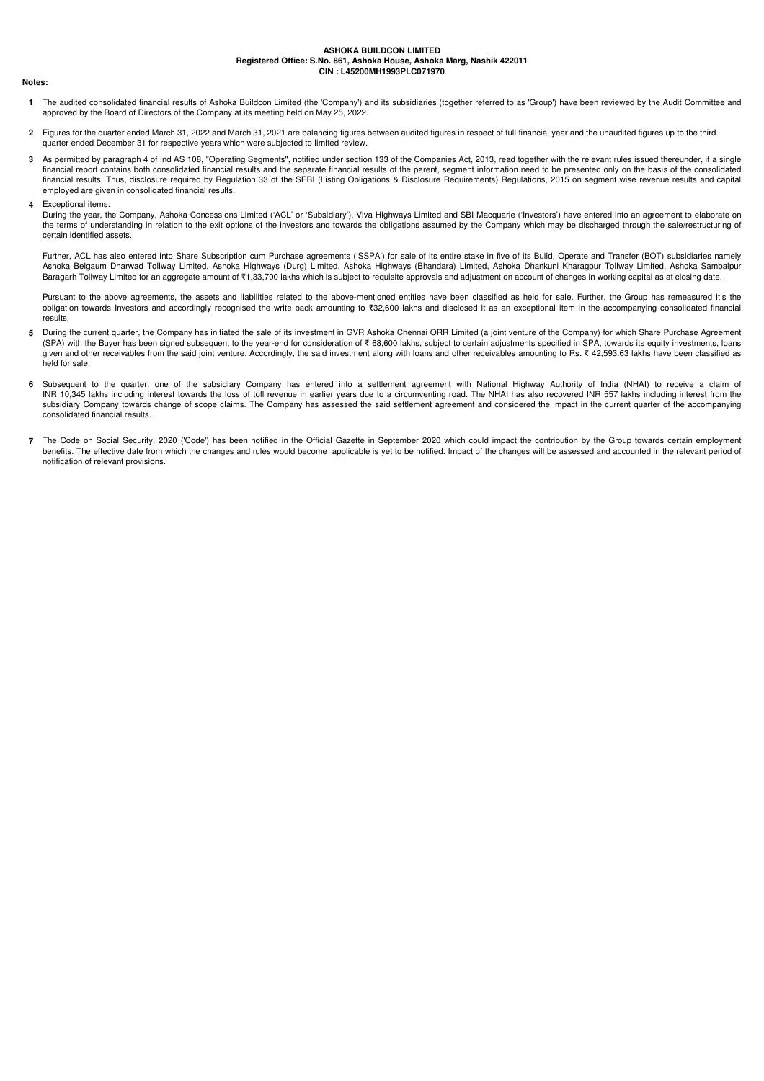#### **Notes:**

- **1** The audited consolidated financial results of Ashoka Buildcon Limited (the 'Company') and its subsidiaries (together referred to as 'Group') have been reviewed by the Audit Committee and approved by the Board of Directors of the Company at its meeting held on May 25, 2022.
- **2** Figures for the quarter ended March 31, 2022 and March 31, 2021 are balancing figures between audited figures in respect of full financial year and the unaudited figures up to the third quarter ended December 31 for respective years which were subjected to limited review.
- **3** As permitted by paragraph 4 of Ind AS 108, "Operating Segments", notified under section 133 of the Companies Act, 2013, read together with the relevant rules issued thereunder, if a single financial report contains both consolidated financial results and the separate financial results of the parent, segment information need to be presented only on the basis of the consolidated financial results. Thus, disclosure required by Regulation 33 of the SEBI (Listing Obligations & Disclosure Requirements) Regulations, 2015 on segment wise revenue results and capital employed are given in consolidated financial results.
- **4** Exceptional items:

During the year, the Company, Ashoka Concessions Limited ('ACL' or 'Subsidiary'), Viva Highways Limited and SBI Macquarie ('Investors') have entered into an agreement to elaborate on the terms of understanding in relation to the exit options of the investors and towards the obligations assumed by the Company which may be discharged through the sale/restructuring of certain identified assets.

Further, ACL has also entered into Share Subscription cum Purchase agreements ('SSPA') for sale of its entire stake in five of its Build, Operate and Transfer (BOT) subsidiaries namely Ashoka Belgaum Dharwad Tollway Limited, Ashoka Highways (Durg) Limited, Ashoka Highways (Bhandara) Limited, Ashoka Dhankuni Kharagpur Tollway Limited, Ashoka Sambalpur Baragarh Tollway Limited for an aggregate amount of ₹1,33,700 lakhs which is subject to requisite approvals and adjustment on account of changes in working capital as at closing date.

Pursuant to the above agreements, the assets and liabilities related to the above-mentioned entities have been classified as held for sale. Further, the Group has remeasured it's the obligation towards Investors and accordingly recognised the write back amounting to ₹32,600 lakhs and disclosed it as an exceptional item in the accompanying consolidated financial results.

- **5** During the current quarter, the Company has initiated the sale of its investment in GVR Ashoka Chennai ORR Limited (a joint venture of the Company) for which Share Purchase Agreement (SPA) with the Buyer has been signed subsequent to the year-end for consideration of ₹ 68,600 lakhs, subject to certain adjustments specified in SPA, towards its equity investments, loans given and other receivables from the said joint venture. Accordingly, the said investment along with loans and other receivables amounting to Rs. ₹ 42,593.63 lakhs have been classified as held for sale.
- **6** Subsequent to the quarter, one of the subsidiary Company has entered into a settlement agreement with National Highway Authority of India (NHAI) to receive a claim of INR 10,345 lakhs including interest towards the loss of toll revenue in earlier years due to a circumventing road. The NHAI has also recovered INR 557 lakhs including interest from the subsidiary Company towards change of scope claims. The Company has assessed the said settlement agreement and considered the impact in the current quarter of the accompanying consolidated financial results.
- **7** The Code on Social Security, 2020 ('Code') has been notified in the Official Gazette in September 2020 which could impact the contribution by the Group towards certain employment benefits. The effective date from which the changes and rules would become applicable is yet to be notified. Impact of the changes will be assessed and accounted in the relevant period of notification of relevant provisions.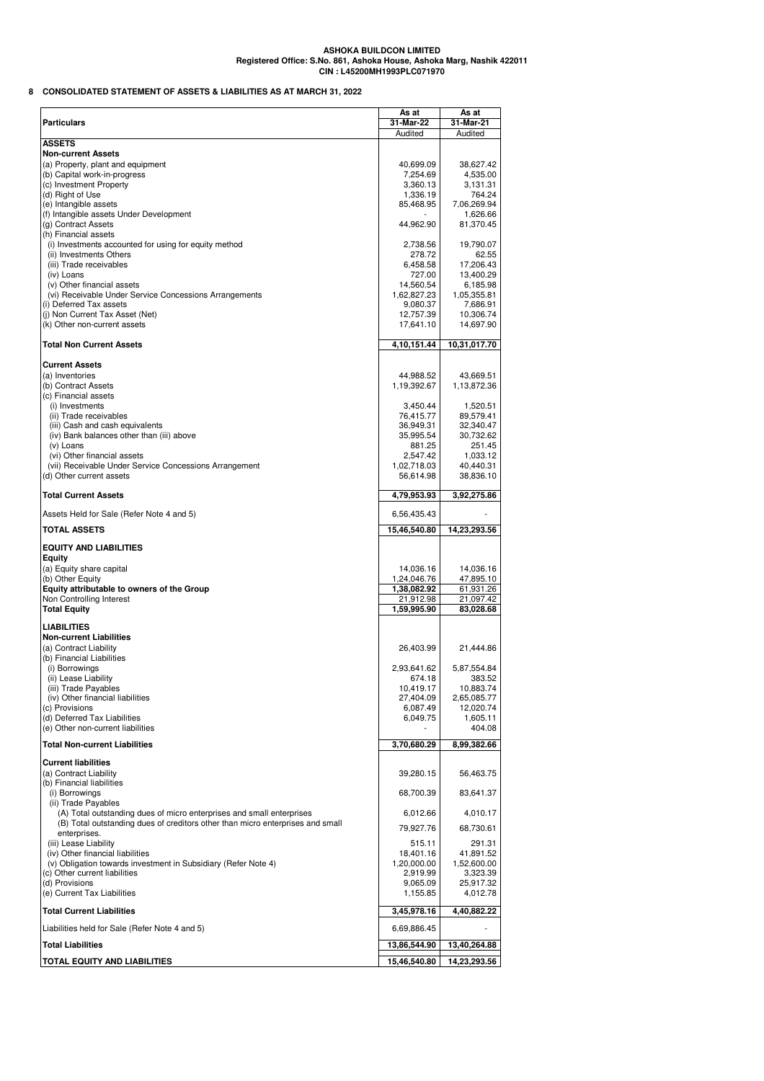**8 CONSOLIDATED STATEMENT OF ASSETS & LIABILITIES AS AT MARCH 31, 2022**

| <b>Particulars</b>                                                             | As at<br>31-Mar-22     | As at<br>31-Mar-21     |
|--------------------------------------------------------------------------------|------------------------|------------------------|
| <b>ASSETS</b>                                                                  | Audited                | Audited                |
| <b>Non-current Assets</b>                                                      |                        |                        |
| (a) Property, plant and equipment                                              | 40,699.09              | 38,627.42              |
| (b) Capital work-in-progress                                                   | 7,254.69               | 4,535.00               |
| (c) Investment Property                                                        | 3,360.13               | 3,131.31               |
| (d) Right of Use                                                               | 1,336.19               | 764.24                 |
| (e) Intangible assets                                                          | 85,468.95              | 7,06,269.94            |
| (f) Intangible assets Under Development                                        |                        | 1,626.66               |
| (g) Contract Assets<br>(h) Financial assets                                    | 44,962.90              | 81,370.45              |
| (i) Investments accounted for using for equity method                          | 2,738.56               | 19,790.07              |
| (ii) Investments Others                                                        | 278.72                 | 62.55                  |
| (iii) Trade receivables                                                        | 6,458.58               | 17,206.43              |
| (iv) Loans                                                                     | 727.00                 | 13,400.29              |
| (v) Other financial assets                                                     | 14,560.54              | 6,185.98               |
| (vi) Receivable Under Service Concessions Arrangements                         | 1,62,827.23            | 1,05,355.81            |
| (i) Deferred Tax assets                                                        | 9,080.37               | 7,686.91               |
| (j) Non Current Tax Asset (Net)                                                | 12,757.39              | 10,306.74              |
| (k) Other non-current assets                                                   | 17,641.10              | 14,697.90              |
| <b>Total Non Current Assets</b>                                                | 4,10,151.44            | 10,31,017.70           |
|                                                                                |                        |                        |
| <b>Current Assets</b>                                                          |                        |                        |
| (a) Inventories                                                                | 44,988.52              | 43,669.51              |
| (b) Contract Assets                                                            | 1,19,392.67            | 1,13,872.36            |
| (c) Financial assets                                                           |                        |                        |
| (i) Investments<br>(ii) Trade receivables                                      | 3,450.44               | 1,520.51               |
| (iii) Cash and cash equivalents                                                | 76,415.77<br>36,949.31 | 89,579.41<br>32,340.47 |
| (iv) Bank balances other than (iii) above                                      | 35,995.54              | 30,732.62              |
| (v) Loans                                                                      | 881.25                 | 251.45                 |
| (vi) Other financial assets                                                    | 2,547.42               | 1,033.12               |
| (vii) Receivable Under Service Concessions Arrangement                         | 1,02,718.03            | 40,440.31              |
| (d) Other current assets                                                       | 56,614.98              | 38,836.10              |
|                                                                                |                        |                        |
| <b>Total Current Assets</b>                                                    | 4,79,953.93            | 3,92,275.86            |
| Assets Held for Sale (Refer Note 4 and 5)                                      | 6,56,435.43            |                        |
| <b>TOTAL ASSETS</b>                                                            | 15,46,540.80           | 14,23,293.56           |
| <b>EQUITY AND LIABILITIES</b>                                                  |                        |                        |
| <b>Equity</b>                                                                  |                        |                        |
| (a) Equity share capital                                                       | 14,036.16              | 14,036.16              |
| (b) Other Equity                                                               | 1,24,046.76            | 47,895.10              |
| Equity attributable to owners of the Group                                     | 1,38,082.92            | 61,931.26              |
| Non Controlling Interest                                                       | 21,912.98              | 21,097.42              |
| <b>Total Equity</b>                                                            | 1,59,995.90            | 83,028.68              |
|                                                                                |                        |                        |
| <b>LIABILITIES</b><br><b>Non-current Liabilities</b>                           |                        |                        |
| (a) Contract Liability                                                         | 26,403.99              | 21,444.86              |
| (b) Financial Liabilities                                                      |                        |                        |
| (i) Borrowings                                                                 | 2,93,641.62            | 5,87,554.84            |
| (ii) Lease Liability                                                           | 674.18                 | 383.52                 |
| (iii) Trade Payables                                                           | 10,419.17              | 10,883.74              |
| (iv) Other financial liabilities                                               | 27,404.09              | 2,65,085.77            |
| (c) Provisions                                                                 | 6,087.49               | 12.020.74              |
| (d) Deferred Tax Liabilities                                                   | 6,049.75               | 1,605.11               |
| (e) Other non-current liabilities                                              |                        | 404.08                 |
| <b>Total Non-current Liabilities</b>                                           | 3,70,680.29            | 8,99,382.66            |
| <b>Current liabilities</b>                                                     |                        |                        |
| (a) Contract Liability                                                         | 39,280.15              | 56,463.75              |
| (b) Financial liabilities                                                      |                        |                        |
| (i) Borrowings                                                                 | 68,700.39              | 83,641.37              |
| (ii) Trade Payables                                                            |                        |                        |
| (A) Total outstanding dues of micro enterprises and small enterprises          | 6,012.66               | 4,010.17               |
| (B) Total outstanding dues of creditors other than micro enterprises and small | 79,927.76              | 68,730.61              |
| enterprises.                                                                   |                        |                        |
| (iii) Lease Liability                                                          | 515.11                 | 291.31                 |
| (iv) Other financial liabilities                                               | 18,401.16              | 41,891.52              |
| (v) Obligation towards investment in Subsidiary (Refer Note 4)                 | 1,20,000.00            | 1,52,600.00            |
| (c) Other current liabilities<br>(d) Provisions                                | 2,919.99               | 3,323.39<br>25,917.32  |
| (e) Current Tax Liabilities                                                    | 9,065.09<br>1,155.85   | 4,012.78               |
|                                                                                |                        |                        |
| <b>Total Current Liabilities</b>                                               | 3,45,978.16            | 4,40,882.22            |
| Liabilities held for Sale (Refer Note 4 and 5)                                 | 6,69,886.45            |                        |
| <b>Total Liabilities</b>                                                       | 13,86,544.90           | 13,40,264.88           |
| <b>TOTAL EQUITY AND LIABILITIES</b>                                            | 15,46,540.80           | 14,23,293.56           |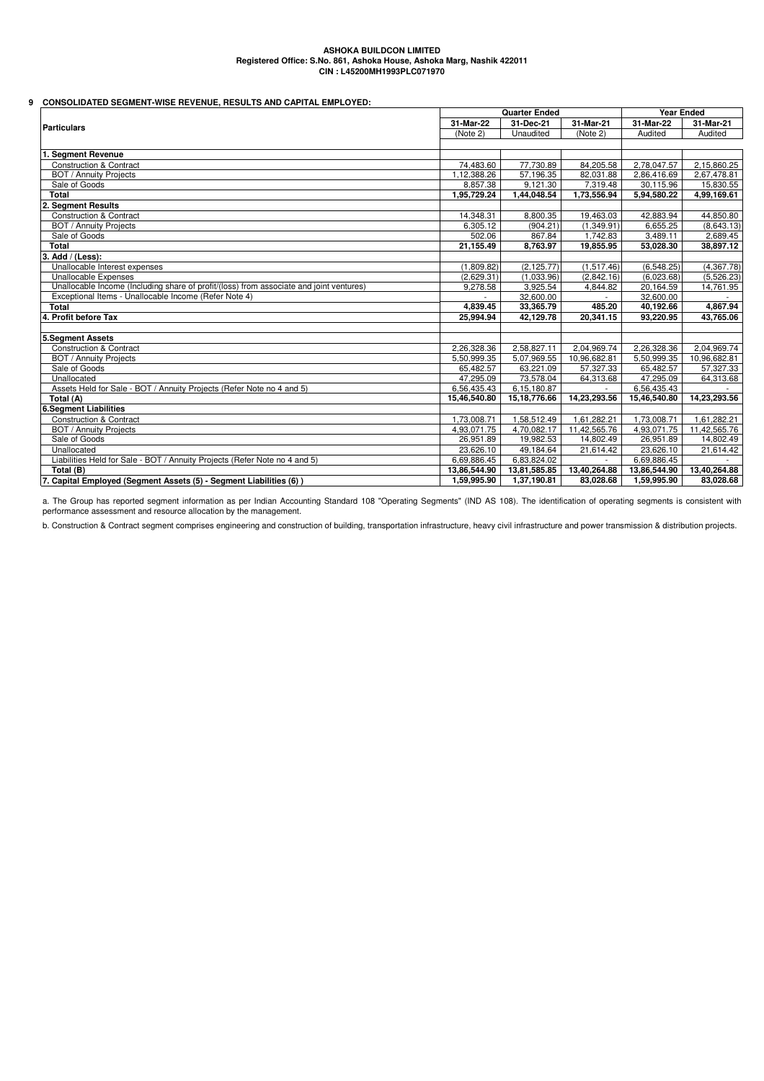# **9 CONSOLIDATED SEGMENT-WISE REVENUE, RESULTS AND CAPITAL EMPLOYED:**

|                                                                                         |              | <b>Quarter Ended</b> |              |              | <b>Year Ended</b> |  |
|-----------------------------------------------------------------------------------------|--------------|----------------------|--------------|--------------|-------------------|--|
| <b>Particulars</b>                                                                      | 31-Mar-22    | 31-Dec-21            | 31-Mar-21    | 31-Mar-22    | 31-Mar-21         |  |
|                                                                                         | (Note 2)     | Unaudited            | (Note 2)     | Audited      | Audited           |  |
|                                                                                         |              |                      |              |              |                   |  |
| <b>Segment Revenue</b>                                                                  |              |                      |              |              |                   |  |
| <b>Construction &amp; Contract</b>                                                      | 74,483.60    | 77,730.89            | 84,205.58    | 2,78,047.57  | 2,15,860.25       |  |
| <b>BOT / Annuity Projects</b>                                                           | 1,12,388.26  | 57,196.35            | 82,031.88    | 2,86,416.69  | 2,67,478.81       |  |
| Sale of Goods                                                                           | 8.857.38     | 9.121.30             | 7,319.48     | 30.115.96    | 15.830.55         |  |
| <b>Total</b>                                                                            | 1,95,729.24  | 1,44,048.54          | 1,73,556.94  | 5,94,580.22  | 4,99,169.61       |  |
| 2. Segment Results                                                                      |              |                      |              |              |                   |  |
| <b>Construction &amp; Contract</b>                                                      | 14.348.31    | 8,800.35             | 19.463.03    | 42,883.94    | 44,850.80         |  |
| <b>BOT / Annuity Projects</b>                                                           | 6,305.12     | (904.21)             | (1,349.91)   | 6,655.25     | (8,643.13)        |  |
| Sale of Goods                                                                           | 502.06       | 867.84               | 1,742.83     | 3,489.11     | 2,689.45          |  |
| <b>Total</b>                                                                            | 21,155.49    | 8,763.97             | 19,855.95    | 53,028.30    | 38,897.12         |  |
| 3. Add / (Less):                                                                        |              |                      |              |              |                   |  |
| Unallocable Interest expenses                                                           | (1.809.82)   | (2.125.77)           | (1,517.46)   | (6.548.25)   | (4,367.78)        |  |
| Unallocable Expenses                                                                    | (2.629.31)   | (1,033.96)           | (2,842.16)   | (6.023.68)   | (5,526.23)        |  |
| Unallocable Income (Including share of profit/(loss) from associate and joint ventures) | 9,278.58     | 3,925.54             | 4,844.82     | 20,164.59    | 14,761.95         |  |
| Exceptional Items - Unallocable Income (Refer Note 4)                                   |              | 32,600.00            |              | 32,600.00    |                   |  |
| <b>Total</b>                                                                            | 4.839.45     | 33,365.79            | 485.20       | 40,192.66    | 4,867.94          |  |
| 4. Profit before Tax                                                                    | 25,994.94    | 42,129.78            | 20,341.15    | 93,220.95    | 43.765.06         |  |
|                                                                                         |              |                      |              |              |                   |  |
| 5.Segment Assets                                                                        |              |                      |              |              |                   |  |
| <b>Construction &amp; Contract</b>                                                      | 2,26,328.36  | 2.58.827.11          | 2,04,969.74  | 2,26,328.36  | 2,04,969.74       |  |
| <b>BOT / Annuity Projects</b>                                                           | 5,50,999.35  | 5,07,969.55          | 10,96,682.81 | 5,50,999.35  | 10,96,682.81      |  |
| Sale of Goods                                                                           | 65,482.57    | 63,221.09            | 57,327.33    | 65,482.57    | 57,327.33         |  |
| Unallocated                                                                             | 47.295.09    | 73.578.04            | 64,313.68    | 47,295.09    | 64,313.68         |  |
| Assets Held for Sale - BOT / Annuity Projects (Refer Note no 4 and 5)                   | 6,56,435.43  | 6.15.180.87          |              | 6,56,435.43  |                   |  |
| Total (A)                                                                               | 15,46,540.80 | 15, 18, 776.66       | 14,23,293.56 | 15,46,540.80 | 14,23,293.56      |  |
| 6.Segment Liabilities                                                                   |              |                      |              |              |                   |  |
| <b>Construction &amp; Contract</b>                                                      | 1,73,008.71  | 1,58,512.49          | 1,61,282.21  | 1,73,008.71  | 1,61,282.21       |  |
| <b>BOT</b> / Annuity Projects                                                           | 4,93,071.75  | 4,70,082.17          | 11,42,565.76 | 4,93,071.75  | 11,42,565.76      |  |
| Sale of Goods                                                                           | 26,951.89    | 19,982.53            | 14,802.49    | 26,951.89    | 14,802.49         |  |
| Unallocated                                                                             | 23,626.10    | 49,184.64            | 21,614.42    | 23,626.10    | 21,614.42         |  |
| Liabilities Held for Sale - BOT / Annuity Projects (Refer Note no 4 and 5)              | 6,69,886.45  | 6,83,824.02          |              | 6,69,886.45  |                   |  |
| Total (B)                                                                               | 13,86,544.90 | 13,81,585.85         | 13,40,264.88 | 13,86,544.90 | 13,40,264.88      |  |
| 7. Capital Employed (Segment Assets (5) - Segment Liabilities (6))                      | 1,59,995.90  | 1,37,190.81          | 83,028.68    | 1,59,995.90  | 83,028.68         |  |

a. The Group has reported segment information as per Indian Accounting Standard 108 "Operating Segments" (IND AS 108). The identification of operating segments is consistent with performance assessment and resource allocation by the management.

b. Construction & Contract segment comprises engineering and construction of building, transportation infrastructure, heavy civil infrastructure and power transmission & distribution projects.